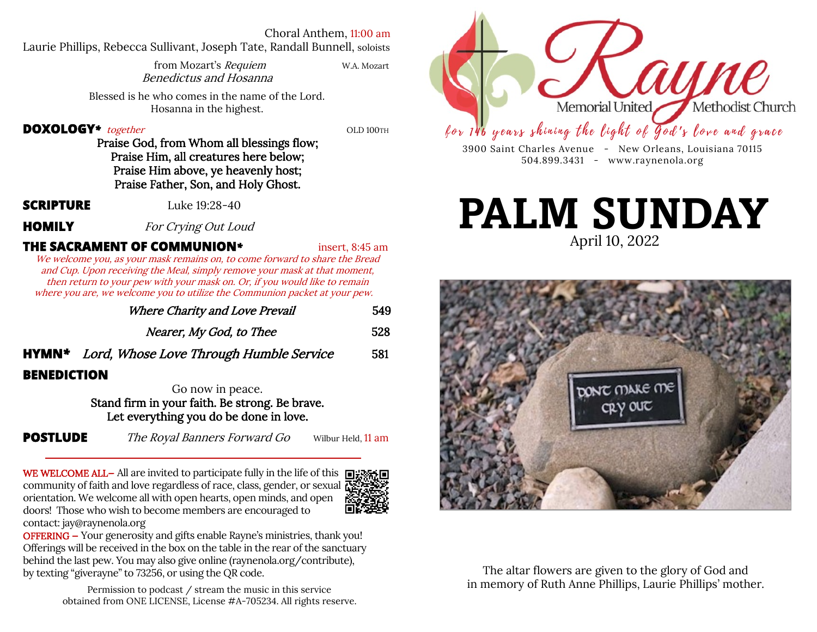#### Choral Anthem, 11:00 am

Laurie Phillips, Rebecca Sullivant, Joseph Tate, Randall Bunnell, soloists

| from Mozart's Requiem  | W.A. Mozart |
|------------------------|-------------|
| Benedictus and Hosanna |             |

Blessed is he who comes in the name of the Lord. Hosanna in the highest.

#### **DOXOLOGY**<sup>\*</sup> together **COLOGY**<sup>\*</sup> **COLOGY**<sup>\*</sup>

Praise God, from Whom all blessings flow; Praise Him, all creatures here below; Praise Him above, ye heavenly host; Praise Father, Son, and Holy Ghost.

**SCRIPTURE** Luke 19:28-40

**HOMILY** For Crying Out Loud

# **THE SACRAMENT OF COMMUNION<sup>\*</sup>** insert, 8:45 am

We welcome you, as your mask remains on, to come forward to share the Bread and Cup. Upon receiving the Meal, simply remove your mask at that moment, then return to your pew with your mask on. Or, if you would like to remain where you are, we welcome you to utilize the Communion packet at your pew.

|                    | Where Charity and Love Prevail                                                                                                                   | 549 |
|--------------------|--------------------------------------------------------------------------------------------------------------------------------------------------|-----|
|                    | Nearer, My God, to Thee                                                                                                                          | 528 |
|                    | <b>HYMN*</b> Lord, Whose Love Through Humble Service                                                                                             | 581 |
| <b>BENEDICTION</b> |                                                                                                                                                  |     |
|                    | Go now in peace.                                                                                                                                 |     |
|                    | $Q_{\text{train}}$ of $Q_{\text{train}}$ is access $f_{\text{test}}$ $f_{\text{test}}$ $D_{\text{test}}$ and $D_{\text{test}}$ $D_{\text{test}}$ |     |

Stand firm in your faith. Be strong. Be brave. Let everything you do be done in love.

**BE** 

**POSTLUDE** The Royal Banners Forward Go Wilbur Held, 11 am

WE WELCOME ALL- All are invited to participate fully in the life of this  $\blacksquare$ . community of faith and love regardless of race, class, gender, or sexual  $\mathbb{Z}^2$ . orientation. We welcome all with open hearts, open minds, and open doors! Those who wish to become members are encouraged to contact: jay@raynenola.org



OFFERING — Your generosity and gifts enable Rayne's ministries, thank you! Offerings will be received in the box on the table in the rear of the sanctuary behind the last pew. You may also give online (raynenola.org/contribute), by texting "giverayne" to 73256, or using the QR code.

> Permission to podcast / stream the music in this service obtained from ONE LICENSE, License #A-705234. All rights reserve.



3900 Saint Charles Avenue - New Orleans, Louisiana 70115 504.899.3431 - www.raynenola.org

# April 10, 2022 **PALM SUNDAY**



The altar flowers are given to the glory of God and in memory of Ruth Anne Phillips, Laurie Phillips' mother.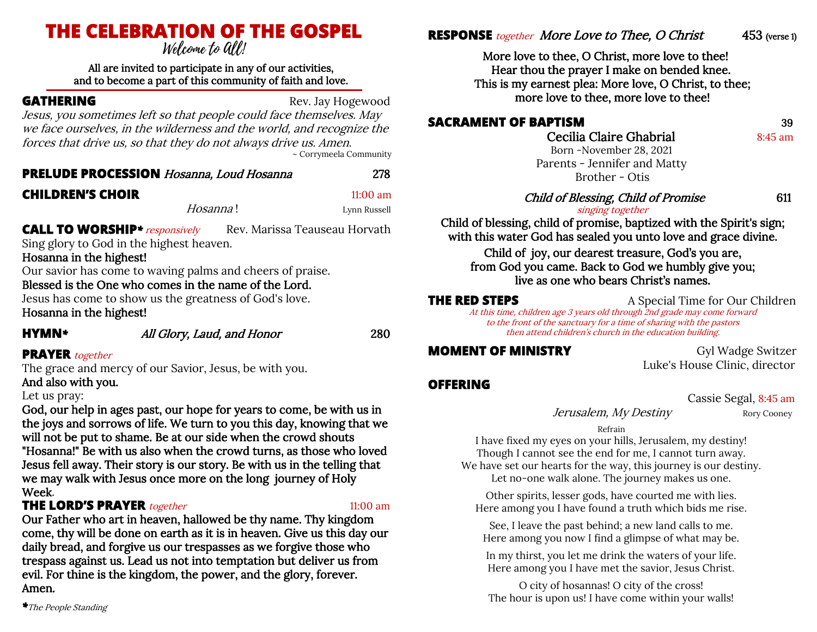# **THE CELEBRATION OF THE GOSPEL**

#### All are invited to participate in any of our activities, and to become a part of this community of faith and love.

**GATHERING** Rev. Jay Hogewood

Jesus, you sometimes left so that people could face themselves. May we face ourselves, in the wilderness and the world, and recognize the forces that drive us, so that they do not always drive us. Amen. ~ Corrymeela Community

# **PRELUDE PROCESSION** Hosanna, Loud Hosanna 278

### **CHILDREN'S CHOIR** 11:00 am

*Hosanna***!** Lynn Russell

**CALL TO WORSHIP**<sup>\*</sup> *responsively* Rev. Marissa Teauseau Horvath Sing glory to God in the highest heaven.

Hosanna in the highest!

Our savior has come to waving palms and cheers of praise.

# Blessed is the One who comes in the name of the Lord.

Jesus has come to show us the greatness of God's love. Hosanna in the highest!

**HYMN***\** All Glory, Laud, and Honor 280

## **PRAYER** together

The grace and mercy of our Savior, Jesus, be with you. And also with you.

### Let us pray:

God, our help in ages past, our hope for years to come, be with us in the joys and sorrows of life. We turn to you this day, knowing that we will not be put to shame. Be at our side when the crowd shouts "Hosanna!" Be with us also when the crowd turns, as those who loved Jesus fell away. Their story is our story. Be with us in the telling that we may walk with Jesus once more on the long journey of Holy Week.

# **THE LORD'S PRAYER** together 11:00 am

Our Father who art in heaven, hallowed be thy name. Thy kingdom come, thy will be done on earth as it is in heaven. Give us this day our daily bread, and forgive us our trespasses as we forgive those who trespass against us. Lead us not into temptation but deliver us from evil. For thine is the kingdom, the power, and the glory, forever. Amen.

*\**The People Standing

# **RESPONSE** *together* More Love to Thee, O Christ 453 (verse 1)

More love to thee, O Christ, more love to thee! Hear thou the prayer I make on bended knee. This is my earnest plea: More love, O Christ, to thee; more love to thee, more love to thee!

# **SACRAMENT OF BAPTISM** 39

Cecilia Claire Ghabrial 8:45 am

Born -November 28, 2021 Parents - Jennifer and Matty Brother - Otis

### Child of Blessing, Child of Promise 611

### singing together

Child of blessing, child of promise, baptized with the Spirit's sign; with this water God has sealed you unto love and grace divine.

Child of joy, our dearest treasure, God's you are, from God you came. Back to God we humbly give you; live as one who bears Christ's names.

**THE RED STEPS** A Special Time for Our Children At this time, children age 3 years old through 2nd grade may come forward to the front of the sanctuary for a time of sharing with the pastors then attend children's church in the education building.

**MOMENT OF MINISTRY Gyl Wadge Switzer** Luke's House Clinic, director

# **OFFERING**

Cassie Segal, 8:45 am

*Jerusalem, My Destiny* Rory Cooney

Refrain

I have fixed my eyes on your hills, Jerusalem, my destiny! Though I cannot see the end for me, I cannot turn away. We have set our hearts for the way, this journey is our destiny. Let no-one walk alone. The journey makes us one.

Other spirits, lesser gods, have courted me with lies. Here among you I have found a truth which bids me rise.

See, I leave the past behind; a new land calls to me. Here among you now I find a glimpse of what may be.

In my thirst, you let me drink the waters of your life. Here among you I have met the savior, Jesus Christ.

O city of hosannas! O city of the cross! The hour is upon us! I have come within your walls!